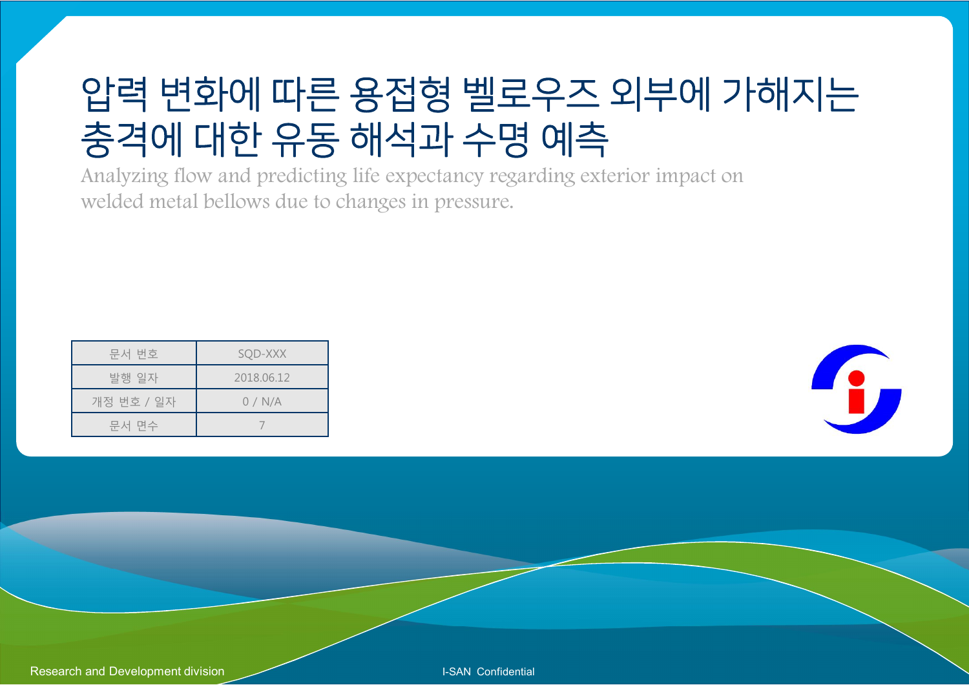## 압력 변화에 따른 용접형 벨로우즈 외부에 가해지는 충격에 대한 유동 해석과 수명 예측

Analyzing flow and predicting life expectancy regarding exterior impact on welded metal bellows due to changes in pressure.

| 문서 번호      | SQD-XXX    |
|------------|------------|
| 발행 일자      | 2018.06.12 |
| 개정 번호 / 일자 | 0/N/A      |
| 문서 면수      |            |



Research and Development division **I-SAN Confidential**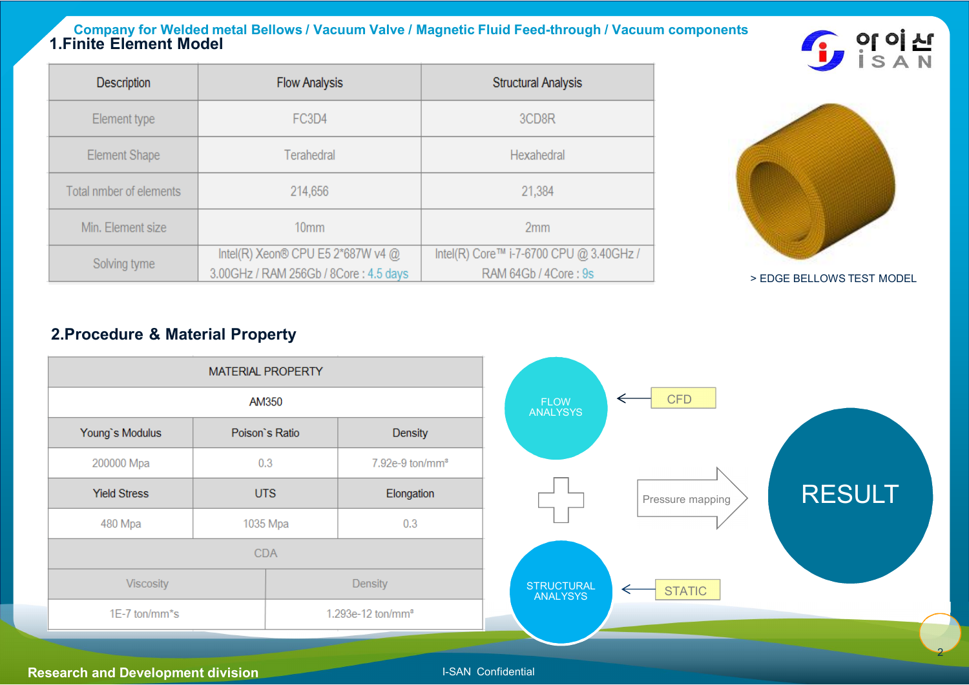#### **Company for Welded metal Bellows / Vacuum Valve / Magnetic Fluid Feed-through / Vacuum components 1.Finite Element Model**

| $\blacksquare$ | 이 이 산         |  |
|----------------|---------------|--|
|                | $\mathcal{L}$ |  |

| <b>Description</b>      | <b>Flow Analysis</b>                  | <b>Structural Analysis</b>              |
|-------------------------|---------------------------------------|-----------------------------------------|
| Element type            | FC3D4                                 | 3CD <sub>8R</sub>                       |
| Element Shape           | Terahedral                            | Hexahedral                              |
| Total nmber of elements | 214,656                               | 21,384                                  |
| Min. Element size       | 10 <sub>mm</sub>                      | 2mm                                     |
| Solving tyme            | Intel(R) Xeon® CPU E5 2*687W v4 @     | Intel(R) Core™ i-7-6700 CPU @ 3.40GHz / |
|                         | 3.00GHz / RAM 256Gb / 8Core: 4.5 days | RAM 64Gb / 4Core: 9s                    |



> EDGE BELLOWS TEST MODEL

2

#### **2.Procedure & Material Property**

|                     | MATERIAL PROPERTY |                               |  |
|---------------------|-------------------|-------------------------------|--|
|                     | AM350             |                               |  |
| Young's Modulus     | Poison's Ratio    | Density                       |  |
| 200000 Mpa          | 0.3               | 7.92e-9 ton/mm <sup>a</sup>   |  |
| <b>Yield Stress</b> | <b>UTS</b>        | Elongation                    |  |
| 480 Mpa             | 1035 Mpa          | 0.3                           |  |
| <b>CDA</b>          |                   |                               |  |
| Viscosity           |                   | Density                       |  |
| 1E-7 ton/mm*s       |                   | 1.293e-12 ton/mm <sup>3</sup> |  |

#### **Research and Development division I-SAN Confidential**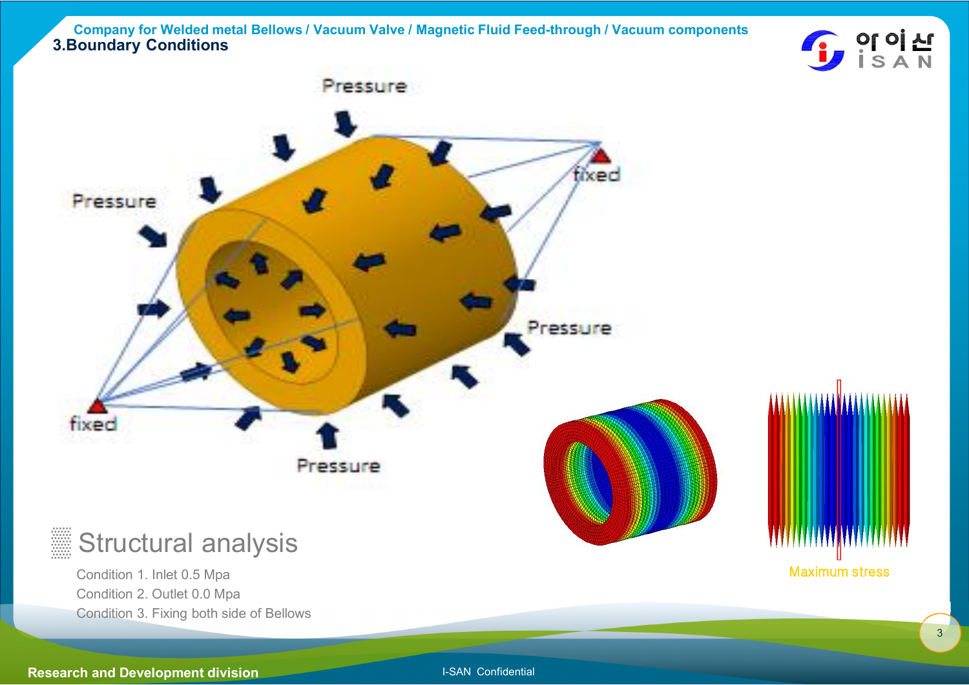**Company for Welded metal Bellows / Vacuum Valve / Magnetic Fluid Feed-through / Vacuum components 3.Boundary Conditions**





Condition 1. Inlet 0.5 Mpa Condition 2. Outlet 0.0 Mpa Condition 3. Fixing both side of Bellows

**Research and Development division I-SAN Confidential**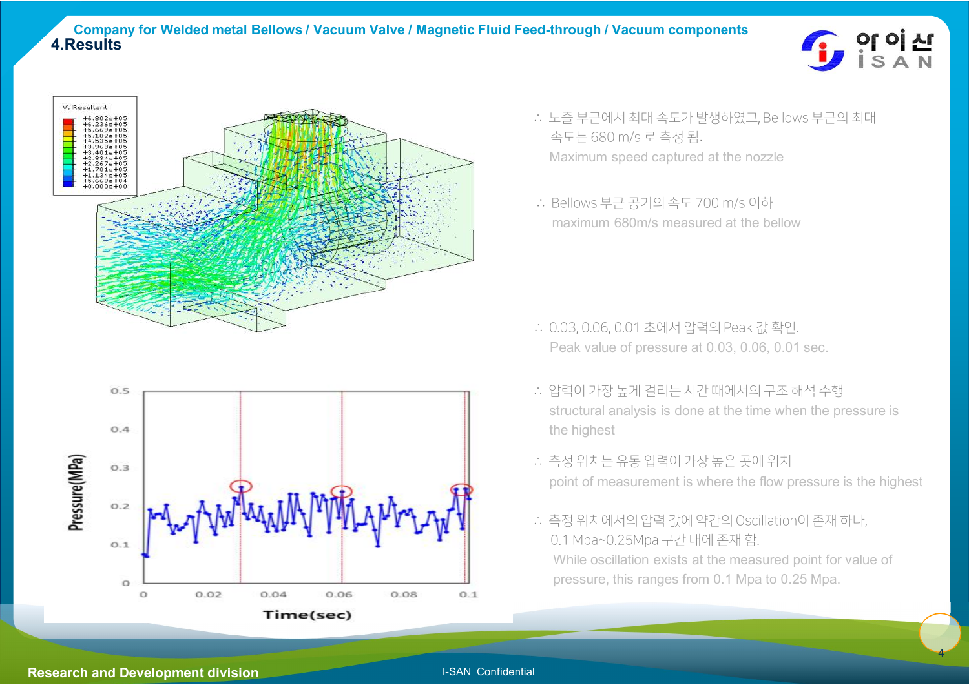

4





- ∴ 노즐 부근에서 최대 속도가 발생하였고, Bellows 부근의 최대 속도는 680 m/s 로 측정 됨. Maximum speed captured at the nozzle
- ∴ Bellows 부근 공기의 속도 700 m/s 이하 maximum 680m/s measured at the bellow

- ∴ 0.03, 0.06, 0.01 초에서 압력의 Peak 값 확인. Peak value of pressure at 0.03, 0.06, 0.01 sec.
- ∴ 압력이 가장 높게 걸리는 시간 때에서의 구조 해석 수행 structural analysis is done at the time when the pressure is the highest
- ∴ 측정 위치는 유동 압력이 가장 높은 곳에 위치 point of measurement is where the flow pressure is the highest
- ∴ 측정 위치에서의 압력 값에 약간의 Oscillation이 존재 하나, 0.1 Mpa~0.25Mpa 구간 내에 존재 함. While oscillation exists at the measured point for value of pressure, this ranges from 0.1 Mpa to 0.25 Mpa.

#### **Research and Development division I-SAN** Confidential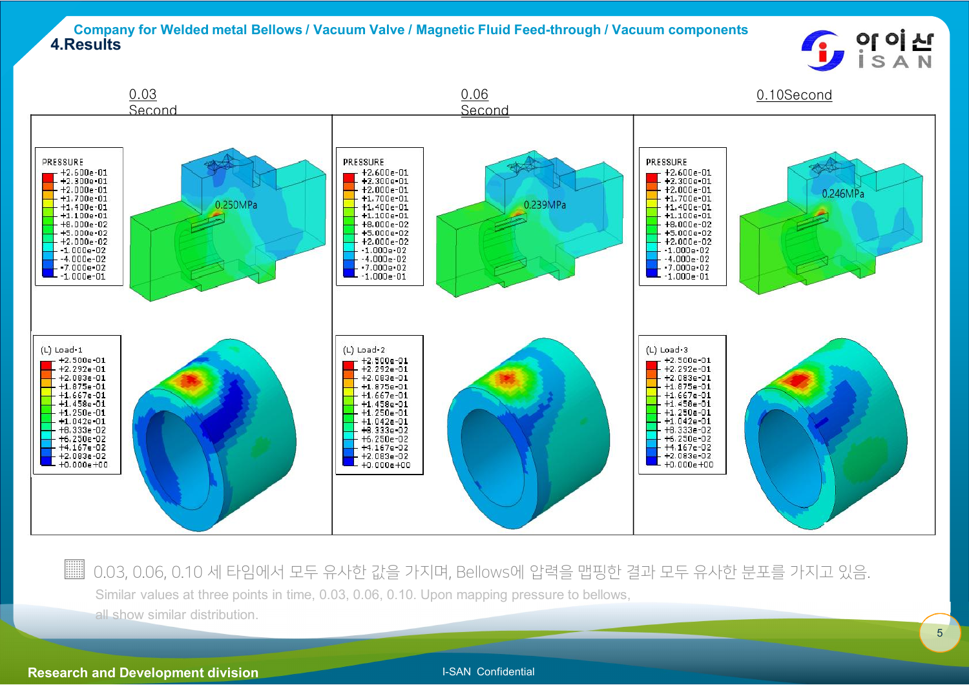#### **Company for Welded metal Bellows / Vacuum Valve / Magnetic Fluid Feed-through / Vacuum components 4.Results**





▒▒ 0.03, 0.06, 0.10 세 타임에서 모두 유사한 값을 가지며, Bellows에 압력을 맵핑한 결과 모두 유사한 분포를 가지고 있음. Similar values at three points in time, 0.03, 0.06, 0.10. Upon mapping pressure to bellows,

all show similar distribution.

#### **Research and Development division I-SAN Confidential**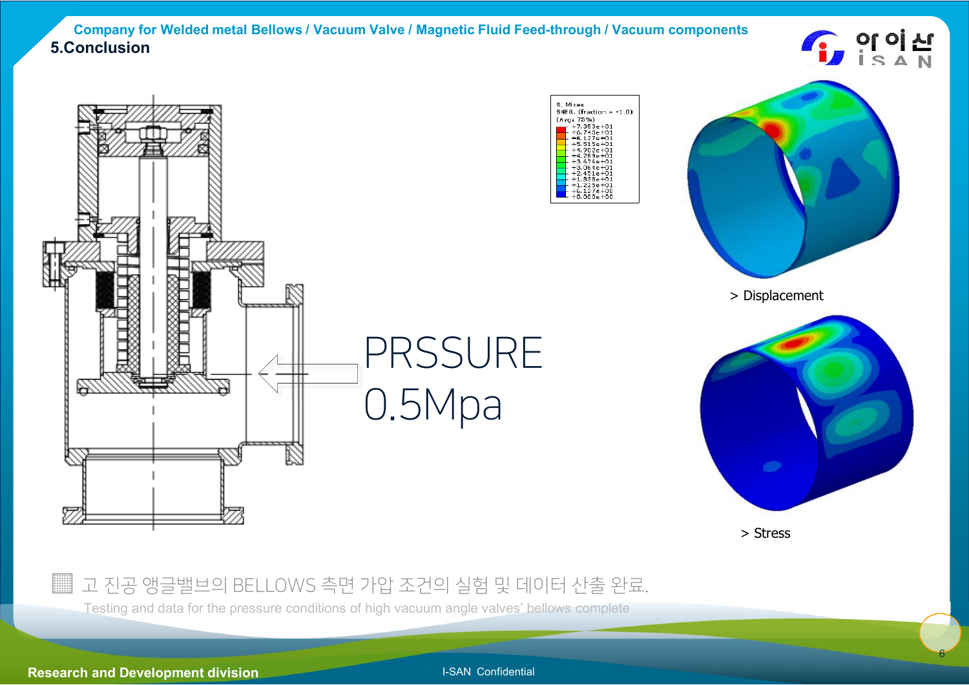#### **Company for Welded metal Bellows / Vacuum Valve / Magnetic Fluid Feed-through / Vacuum components 5.Conclusion**









> Displacement



> Stress

### ▒ 고 진공 앵글밸브의 BELLOWS 측면 가압 조건의 실험 및 데이터 산출 완료.

Testing and data for the pressure conditions of high vacuum angle valves' bellows complete

**Research and Development division I-SAN Confidential**